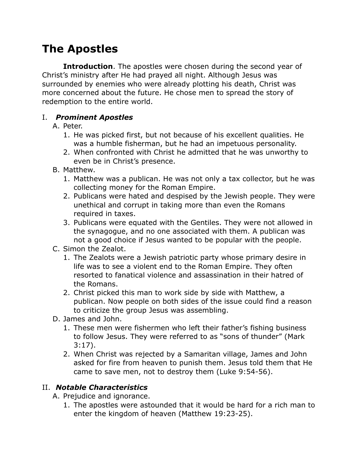# **The Apostles**

**Introduction**. The apostles were chosen during the second year of Christ's ministry after He had prayed all night. Although Jesus was surrounded by enemies who were already plotting his death, Christ was more concerned about the future. He chose men to spread the story of redemption to the entire world.

### I. *Prominent Apostles*

#### A. Peter.

- 1. He was picked first, but not because of his excellent qualities. He was a humble fisherman, but he had an impetuous personality.
- 2. When confronted with Christ he admitted that he was unworthy to even be in Christ's presence.
- B. Matthew.
	- 1. Matthew was a publican. He was not only a tax collector, but he was collecting money for the Roman Empire.
	- 2. Publicans were hated and despised by the Jewish people. They were unethical and corrupt in taking more than even the Romans required in taxes.
	- 3. Publicans were equated with the Gentiles. They were not allowed in the synagogue, and no one associated with them. A publican was not a good choice if Jesus wanted to be popular with the people.
- C. Simon the Zealot.
	- 1. The Zealots were a Jewish patriotic party whose primary desire in life was to see a violent end to the Roman Empire. They often resorted to fanatical violence and assassination in their hatred of the Romans.
	- 2. Christ picked this man to work side by side with Matthew, a publican. Now people on both sides of the issue could find a reason to criticize the group Jesus was assembling.
- D. James and John.
	- 1. These men were fishermen who left their father's fishing business to follow Jesus. They were referred to as "sons of thunder" (Mark 3:17).
	- 2. When Christ was rejected by a Samaritan village, James and John asked for fire from heaven to punish them. Jesus told them that He came to save men, not to destroy them (Luke 9:54-56).

## II. *Notable Characteristics*

A. Prejudice and ignorance.

1. The apostles were astounded that it would be hard for a rich man to enter the kingdom of heaven (Matthew 19:23-25).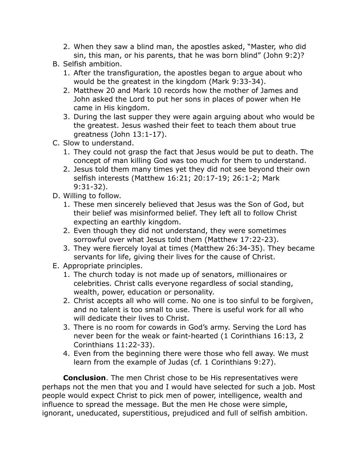- 2. When they saw a blind man, the apostles asked, "Master, who did sin, this man, or his parents, that he was born blind" (John 9:2)?
- B. Selfish ambition.
	- 1. After the transfiguration, the apostles began to argue about who would be the greatest in the kingdom (Mark 9:33-34).
	- 2. Matthew 20 and Mark 10 records how the mother of James and John asked the Lord to put her sons in places of power when He came in His kingdom.
	- 3. During the last supper they were again arguing about who would be the greatest. Jesus washed their feet to teach them about true greatness (John 13:1-17).
- C. Slow to understand.
	- 1. They could not grasp the fact that Jesus would be put to death. The concept of man killing God was too much for them to understand.
	- 2. Jesus told them many times yet they did not see beyond their own selfish interests (Matthew 16:21; 20:17-19; 26:1-2; Mark 9:31-32).
- D. Willing to follow.
	- 1. These men sincerely believed that Jesus was the Son of God, but their belief was misinformed belief. They left all to follow Christ expecting an earthly kingdom.
	- 2. Even though they did not understand, they were sometimes sorrowful over what Jesus told them (Matthew 17:22-23).
	- 3. They were fiercely loyal at times (Matthew 26:34-35). They became servants for life, giving their lives for the cause of Christ.
- E. Appropriate principles.
	- 1. The church today is not made up of senators, millionaires or celebrities. Christ calls everyone regardless of social standing, wealth, power, education or personality.
	- 2. Christ accepts all who will come. No one is too sinful to be forgiven, and no talent is too small to use. There is useful work for all who will dedicate their lives to Christ.
	- 3. There is no room for cowards in God's army. Serving the Lord has never been for the weak or faint-hearted (1 Corinthians 16:13, 2 Corinthians 11:22-33).
	- 4. Even from the beginning there were those who fell away. We must learn from the example of Judas (cf. 1 Corinthians 9:27).

**Conclusion**. The men Christ chose to be His representatives were perhaps not the men that you and I would have selected for such a job. Most people would expect Christ to pick men of power, intelligence, wealth and influence to spread the message. But the men He chose were simple, ignorant, uneducated, superstitious, prejudiced and full of selfish ambition.